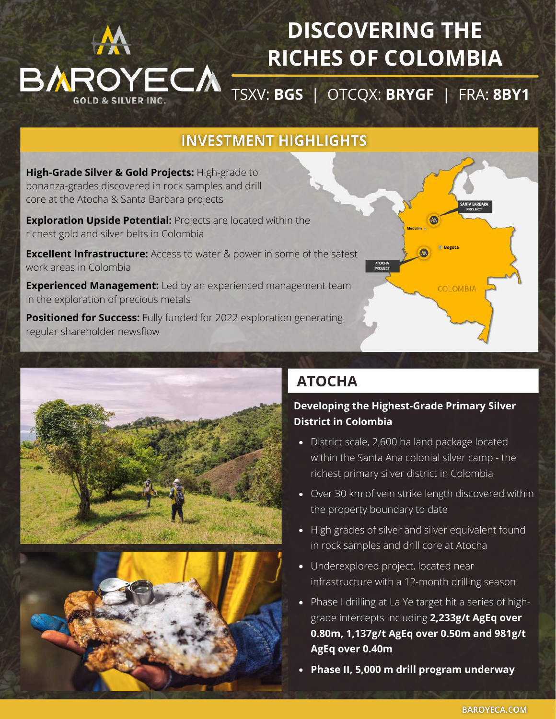

# **DISCOVERING THE RICHES OF COLOMBIA**

[TSXV:](https://baroyeca.com/investors/stock-quote) **[BGS](https://baroyeca.com/investors/stock-quote)** [|](https://baroyeca.com/investors/stock-quote) [OTCQX:](https://baroyeca.com/investors/stock-quote) **[BRYGF](https://baroyeca.com/investors/stock-quote)** [|](https://baroyeca.com/investors/stock-quote) [FRA:](https://baroyeca.com/investors/stock-quote) **[8BY1](https://baroyeca.com/investors/stock-quote)**

### **INVESTMENT HIGHLIGHTS**

**High-Grade Silver & Gold Projects:** High-grade to bonanza-grades discovered in rock samples and drill core at the Atocha & Santa Barbara projects

**Exploration Upside Potential:** Projects are located within the richest gold and silver belts in Colombia

**Excellent Infrastructure:** Access to water & power in some of the safest work areas in Colombia

**Experienced Management:** Led by an experienced management team in the exploration of precious metals

**Positioned for Success:** Fully funded for 2022 exploration generating regular shareholder newsflow





## **ATOCHA**

#### **Developing the Highest-Grade Primary Silver District in Colombia**

**Medellin**

**Bogota**

**COLOMBIA** 

- District scale, 2,600 ha land package located within the Santa Ana colonial silver camp - the richest primary silver district in Colombia
- Over 30 km of vein strike length discovered within the property boundary to date
- High grades of silver and silver equivalent found in rock samples and drill core at Atocha
- Underexplored project, located near infrastructure with a 12-month drilling season
- Phase I drilling at La Ye target hit a series of highgrade intercepts including **2,233g/t AgEq over 0.80m, 1,137g/t AgEq over 0.50m and 981g/t AgEq over 0.40m**
- **Phase II, 5,000 m drill program underway**